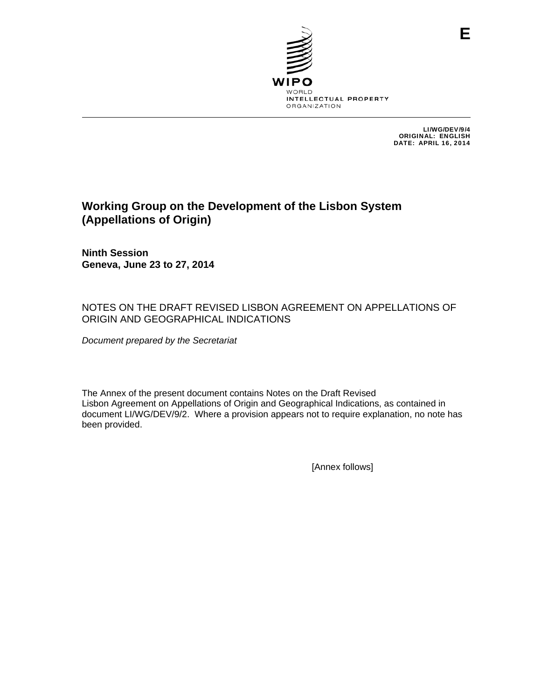

LI/WG/DEV/9/4 ORIGINAL: ENGLISH DATE: APRIL 16, 2014

# **Working Group on the Development of the Lisbon System (Appellations of Origin)**

**Ninth Session Geneva, June 23 to 27, 2014** 

## NOTES ON THE DRAFT REVISED LISBON AGREEMENT ON APPELLATIONS OF ORIGIN AND GEOGRAPHICAL INDICATIONS

*Document prepared by the Secretariat* 

The Annex of the present document contains Notes on the Draft Revised Lisbon Agreement on Appellations of Origin and Geographical Indications, as contained in document LI/WG/DEV/9/2. Where a provision appears not to require explanation, no note has been provided.

[Annex follows]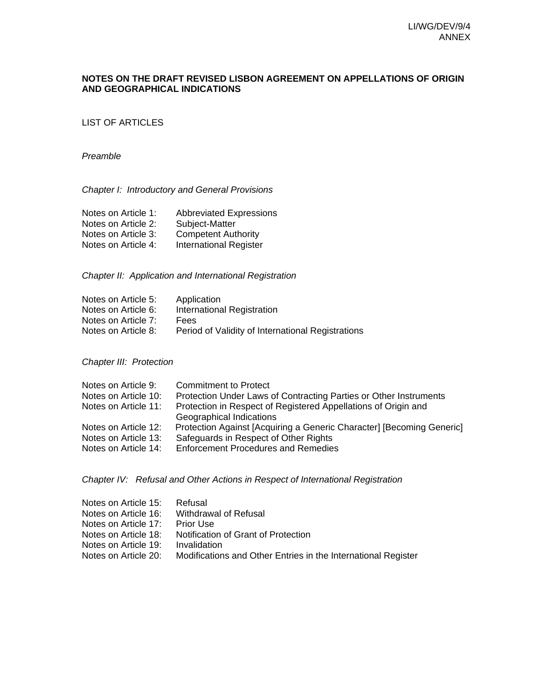### **NOTES ON THE DRAFT REVISED LISBON AGREEMENT ON APPELLATIONS OF ORIGIN AND GEOGRAPHICAL INDICATIONS**

LIST OF ARTICLES

#### *Preamble*

### *Chapter I: Introductory and General Provisions*

| Notes on Article 1: | <b>Abbreviated Expressions</b> |
|---------------------|--------------------------------|
| Notes on Article 2: | Subject-Matter                 |
| Notes on Article 3: | <b>Competent Authority</b>     |
| Notes on Article 4: | International Register         |

#### *Chapter II: Application and International Registration*

| Notes on Article 5: | Application                                       |
|---------------------|---------------------------------------------------|
| Notes on Article 6: | International Registration                        |
| Notes on Article 7: | <b>Fees</b>                                       |
| Notes on Article 8: | Period of Validity of International Registrations |

#### *Chapter III: Protection*

| Notes on Article 9:  | <b>Commitment to Protect</b>                                          |
|----------------------|-----------------------------------------------------------------------|
| Notes on Article 10: | Protection Under Laws of Contracting Parties or Other Instruments     |
| Notes on Article 11: | Protection in Respect of Registered Appellations of Origin and        |
|                      | Geographical Indications                                              |
| Notes on Article 12: | Protection Against [Acquiring a Generic Character] [Becoming Generic] |
| Notes on Article 13: | Safeguards in Respect of Other Rights                                 |
| Notes on Article 14: | <b>Enforcement Procedures and Remedies</b>                            |
|                      |                                                                       |

#### *Chapter IV: Refusal and Other Actions in Respect of International Registration*

| Refusal                                                       |
|---------------------------------------------------------------|
| Withdrawal of Refusal                                         |
| <b>Prior Use</b>                                              |
| Notification of Grant of Protection                           |
| Invalidation                                                  |
| Modifications and Other Entries in the International Register |
|                                                               |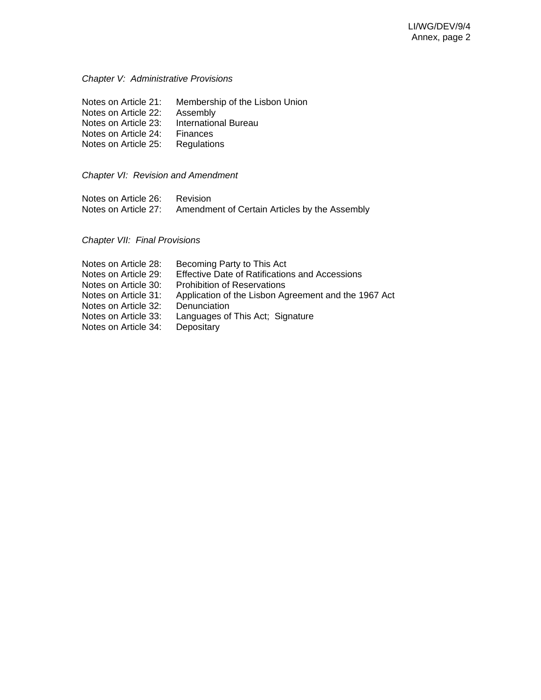## *Chapter V: Administrative Provisions*

| Notes on Article 21: | Membership of the Lisbon Union |
|----------------------|--------------------------------|
| Notes on Article 22: | Assembly                       |
| Notes on Article 23: | <b>International Bureau</b>    |
| Notes on Article 24: | <b>Finances</b>                |
| Notes on Article 25: | Regulations                    |

*Chapter VI: Revision and Amendment* 

| Notes on Article 26: | Revision                                      |  |
|----------------------|-----------------------------------------------|--|
| Notes on Article 27: | Amendment of Certain Articles by the Assembly |  |

## *Chapter VII: Final Provisions*

| Becoming Party to This Act                            |
|-------------------------------------------------------|
| <b>Effective Date of Ratifications and Accessions</b> |
| <b>Prohibition of Reservations</b>                    |
| Application of the Lisbon Agreement and the 1967 Act  |
| Denunciation                                          |
| Languages of This Act; Signature                      |
| Depositary                                            |
|                                                       |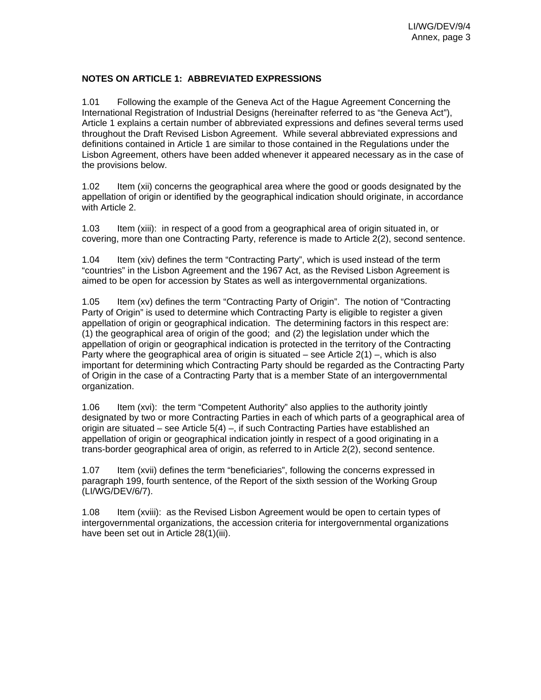### **NOTES ON ARTICLE 1: ABBREVIATED EXPRESSIONS**

1.01 Following the example of the Geneva Act of the Hague Agreement Concerning the International Registration of Industrial Designs (hereinafter referred to as "the Geneva Act"), Article 1 explains a certain number of abbreviated expressions and defines several terms used throughout the Draft Revised Lisbon Agreement. While several abbreviated expressions and definitions contained in Article 1 are similar to those contained in the Regulations under the Lisbon Agreement, others have been added whenever it appeared necessary as in the case of the provisions below.

1.02 Item (xii) concerns the geographical area where the good or goods designated by the appellation of origin or identified by the geographical indication should originate, in accordance with Article 2.

1.03 Item (xiii): in respect of a good from a geographical area of origin situated in, or covering, more than one Contracting Party, reference is made to Article 2(2), second sentence.

1.04 Item (xiv) defines the term "Contracting Party", which is used instead of the term "countries" in the Lisbon Agreement and the 1967 Act, as the Revised Lisbon Agreement is aimed to be open for accession by States as well as intergovernmental organizations.

1.05 Item (xv) defines the term "Contracting Party of Origin". The notion of "Contracting Party of Origin" is used to determine which Contracting Party is eligible to register a given appellation of origin or geographical indication. The determining factors in this respect are: (1) the geographical area of origin of the good; and (2) the legislation under which the appellation of origin or geographical indication is protected in the territory of the Contracting Party where the geographical area of origin is situated – see Article  $2(1)$  –, which is also important for determining which Contracting Party should be regarded as the Contracting Party of Origin in the case of a Contracting Party that is a member State of an intergovernmental organization.

1.06 Item (xvi): the term "Competent Authority" also applies to the authority jointly designated by two or more Contracting Parties in each of which parts of a geographical area of origin are situated – see Article 5(4) –, if such Contracting Parties have established an appellation of origin or geographical indication jointly in respect of a good originating in a trans-border geographical area of origin, as referred to in Article 2(2), second sentence.

1.07 Item (xvii) defines the term "beneficiaries", following the concerns expressed in paragraph 199, fourth sentence, of the Report of the sixth session of the Working Group (LI/WG/DEV/6/7).

1.08 Item (xviii): as the Revised Lisbon Agreement would be open to certain types of intergovernmental organizations, the accession criteria for intergovernmental organizations have been set out in Article 28(1)(iii).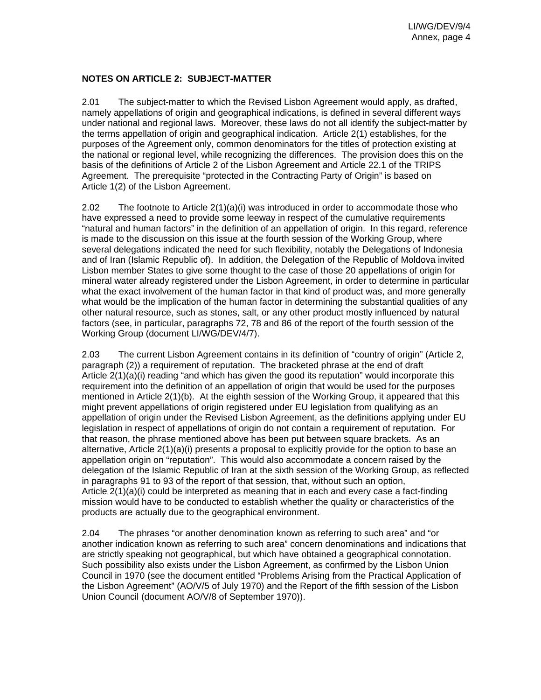### **NOTES ON ARTICLE 2: SUBJECT-MATTER**

2.01 The subject-matter to which the Revised Lisbon Agreement would apply, as drafted, namely appellations of origin and geographical indications, is defined in several different ways under national and regional laws. Moreover, these laws do not all identify the subject-matter by the terms appellation of origin and geographical indication. Article 2(1) establishes, for the purposes of the Agreement only, common denominators for the titles of protection existing at the national or regional level, while recognizing the differences. The provision does this on the basis of the definitions of Article 2 of the Lisbon Agreement and Article 22.1 of the TRIPS Agreement. The prerequisite "protected in the Contracting Party of Origin" is based on Article 1(2) of the Lisbon Agreement.

2.02 The footnote to Article  $2(1)(a)(i)$  was introduced in order to accommodate those who have expressed a need to provide some leeway in respect of the cumulative requirements "natural and human factors" in the definition of an appellation of origin. In this regard, reference is made to the discussion on this issue at the fourth session of the Working Group, where several delegations indicated the need for such flexibility, notably the Delegations of Indonesia and of Iran (Islamic Republic of). In addition, the Delegation of the Republic of Moldova invited Lisbon member States to give some thought to the case of those 20 appellations of origin for mineral water already registered under the Lisbon Agreement, in order to determine in particular what the exact involvement of the human factor in that kind of product was, and more generally what would be the implication of the human factor in determining the substantial qualities of any other natural resource, such as stones, salt, or any other product mostly influenced by natural factors (see, in particular, paragraphs 72, 78 and 86 of the report of the fourth session of the Working Group (document LI/WG/DEV/4/7).

2.03 The current Lisbon Agreement contains in its definition of "country of origin" (Article 2, paragraph (2)) a requirement of reputation. The bracketed phrase at the end of draft Article 2(1)(a)(i) reading "and which has given the good its reputation" would incorporate this requirement into the definition of an appellation of origin that would be used for the purposes mentioned in Article 2(1)(b). At the eighth session of the Working Group, it appeared that this might prevent appellations of origin registered under EU legislation from qualifying as an appellation of origin under the Revised Lisbon Agreement, as the definitions applying under EU legislation in respect of appellations of origin do not contain a requirement of reputation. For that reason, the phrase mentioned above has been put between square brackets. As an alternative, Article 2(1)(a)(i) presents a proposal to explicitly provide for the option to base an appellation origin on "reputation". This would also accommodate a concern raised by the delegation of the Islamic Republic of Iran at the sixth session of the Working Group, as reflected in paragraphs 91 to 93 of the report of that session, that, without such an option, Article 2(1)(a)(i) could be interpreted as meaning that in each and every case a fact-finding mission would have to be conducted to establish whether the quality or characteristics of the products are actually due to the geographical environment.

2.04 The phrases "or another denomination known as referring to such area" and "or another indication known as referring to such area" concern denominations and indications that are strictly speaking not geographical, but which have obtained a geographical connotation. Such possibility also exists under the Lisbon Agreement, as confirmed by the Lisbon Union Council in 1970 (see the document entitled "Problems Arising from the Practical Application of the Lisbon Agreement" (AO/V/5 of July 1970) and the Report of the fifth session of the Lisbon Union Council (document AO/V/8 of September 1970)).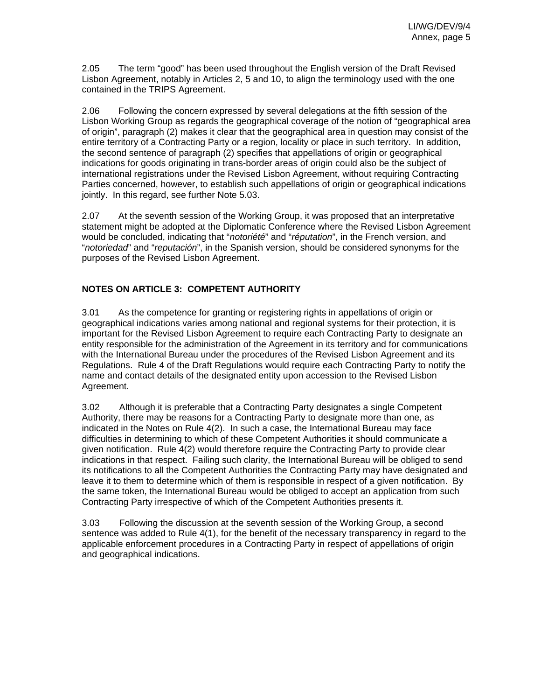2.05 The term "good" has been used throughout the English version of the Draft Revised Lisbon Agreement, notably in Articles 2, 5 and 10, to align the terminology used with the one contained in the TRIPS Agreement.

2.06 Following the concern expressed by several delegations at the fifth session of the Lisbon Working Group as regards the geographical coverage of the notion of "geographical area of origin", paragraph (2) makes it clear that the geographical area in question may consist of the entire territory of a Contracting Party or a region, locality or place in such territory. In addition, the second sentence of paragraph (2) specifies that appellations of origin or geographical indications for goods originating in trans-border areas of origin could also be the subject of international registrations under the Revised Lisbon Agreement, without requiring Contracting Parties concerned, however, to establish such appellations of origin or geographical indications jointly. In this regard, see further Note 5.03.

2.07 At the seventh session of the Working Group, it was proposed that an interpretative statement might be adopted at the Diplomatic Conference where the Revised Lisbon Agreement would be concluded, indicating that "*notoriété*" and "*réputation*", in the French version, and "*notoriedad*" and "*reputación*", in the Spanish version, should be considered synonyms for the purposes of the Revised Lisbon Agreement.

## **NOTES ON ARTICLE 3: COMPETENT AUTHORITY**

3.01 As the competence for granting or registering rights in appellations of origin or geographical indications varies among national and regional systems for their protection, it is important for the Revised Lisbon Agreement to require each Contracting Party to designate an entity responsible for the administration of the Agreement in its territory and for communications with the International Bureau under the procedures of the Revised Lisbon Agreement and its Regulations. Rule 4 of the Draft Regulations would require each Contracting Party to notify the name and contact details of the designated entity upon accession to the Revised Lisbon Agreement.

3.02 Although it is preferable that a Contracting Party designates a single Competent Authority, there may be reasons for a Contracting Party to designate more than one, as indicated in the Notes on Rule 4(2). In such a case, the International Bureau may face difficulties in determining to which of these Competent Authorities it should communicate a given notification. Rule 4(2) would therefore require the Contracting Party to provide clear indications in that respect. Failing such clarity, the International Bureau will be obliged to send its notifications to all the Competent Authorities the Contracting Party may have designated and leave it to them to determine which of them is responsible in respect of a given notification. By the same token, the International Bureau would be obliged to accept an application from such Contracting Party irrespective of which of the Competent Authorities presents it.

3.03 Following the discussion at the seventh session of the Working Group, a second sentence was added to Rule 4(1), for the benefit of the necessary transparency in regard to the applicable enforcement procedures in a Contracting Party in respect of appellations of origin and geographical indications.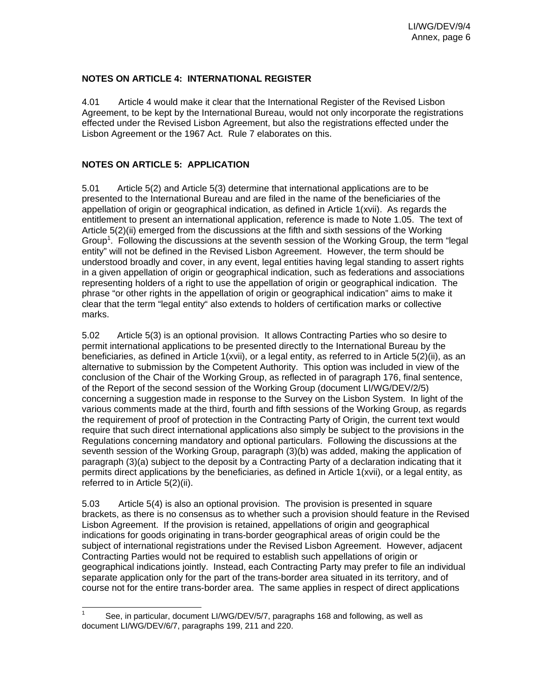### **NOTES ON ARTICLE 4: INTERNATIONAL REGISTER**

4.01 Article 4 would make it clear that the International Register of the Revised Lisbon Agreement, to be kept by the International Bureau, would not only incorporate the registrations effected under the Revised Lisbon Agreement, but also the registrations effected under the Lisbon Agreement or the 1967 Act. Rule 7 elaborates on this.

## **NOTES ON ARTICLE 5: APPLICATION**

5.01 Article 5(2) and Article 5(3) determine that international applications are to be presented to the International Bureau and are filed in the name of the beneficiaries of the appellation of origin or geographical indication, as defined in Article 1(xvii). As regards the entitlement to present an international application, reference is made to Note 1.05. The text of Article 5(2)(ii) emerged from the discussions at the fifth and sixth sessions of the Working Group<sup>1</sup>. Following the discussions at the seventh session of the Working Group, the term "legal entity" will not be defined in the Revised Lisbon Agreement. However, the term should be understood broadly and cover, in any event, legal entities having legal standing to assert rights in a given appellation of origin or geographical indication, such as federations and associations representing holders of a right to use the appellation of origin or geographical indication. The phrase "or other rights in the appellation of origin or geographical indication" aims to make it clear that the term "legal entity" also extends to holders of certification marks or collective marks.

5.02 Article 5(3) is an optional provision. It allows Contracting Parties who so desire to permit international applications to be presented directly to the International Bureau by the beneficiaries, as defined in Article 1(xvii), or a legal entity, as referred to in Article 5(2)(ii), as an alternative to submission by the Competent Authority. This option was included in view of the conclusion of the Chair of the Working Group, as reflected in of paragraph 176, final sentence, of the Report of the second session of the Working Group (document LI/WG/DEV/2/5) concerning a suggestion made in response to the Survey on the Lisbon System. In light of the various comments made at the third, fourth and fifth sessions of the Working Group, as regards the requirement of proof of protection in the Contracting Party of Origin, the current text would require that such direct international applications also simply be subject to the provisions in the Regulations concerning mandatory and optional particulars. Following the discussions at the seventh session of the Working Group, paragraph (3)(b) was added, making the application of paragraph (3)(a) subject to the deposit by a Contracting Party of a declaration indicating that it permits direct applications by the beneficiaries, as defined in Article 1(xvii), or a legal entity, as referred to in Article 5(2)(ii).

5.03 Article 5(4) is also an optional provision. The provision is presented in square brackets, as there is no consensus as to whether such a provision should feature in the Revised Lisbon Agreement. If the provision is retained, appellations of origin and geographical indications for goods originating in trans-border geographical areas of origin could be the subject of international registrations under the Revised Lisbon Agreement. However, adjacent Contracting Parties would not be required to establish such appellations of origin or geographical indications jointly. Instead, each Contracting Party may prefer to file an individual separate application only for the part of the trans-border area situated in its territory, and of course not for the entire trans-border area. The same applies in respect of direct applications

 $\frac{1}{1}$  See, in particular, document LI/WG/DEV/5/7, paragraphs 168 and following, as well as document LI/WG/DEV/6/7, paragraphs 199, 211 and 220.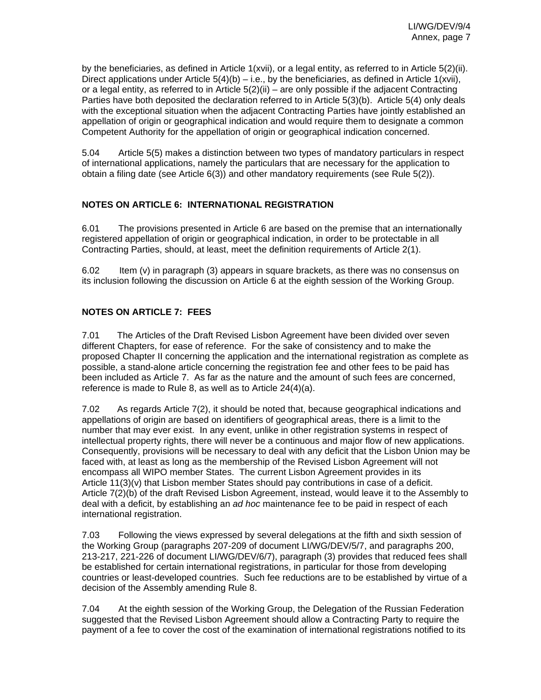by the beneficiaries, as defined in Article 1(xvii), or a legal entity, as referred to in Article 5(2)(ii). Direct applications under Article  $5(4)(b) - i.e.$ , by the beneficiaries, as defined in Article 1(xvii), or a legal entity, as referred to in Article 5(2)(ii) – are only possible if the adjacent Contracting Parties have both deposited the declaration referred to in Article 5(3)(b). Article 5(4) only deals with the exceptional situation when the adjacent Contracting Parties have jointly established an appellation of origin or geographical indication and would require them to designate a common Competent Authority for the appellation of origin or geographical indication concerned.

5.04 Article 5(5) makes a distinction between two types of mandatory particulars in respect of international applications, namely the particulars that are necessary for the application to obtain a filing date (see Article 6(3)) and other mandatory requirements (see Rule 5(2)).

## **NOTES ON ARTICLE 6: INTERNATIONAL REGISTRATION**

6.01 The provisions presented in Article 6 are based on the premise that an internationally registered appellation of origin or geographical indication, in order to be protectable in all Contracting Parties, should, at least, meet the definition requirements of Article 2(1).

6.02 Item (v) in paragraph (3) appears in square brackets, as there was no consensus on its inclusion following the discussion on Article 6 at the eighth session of the Working Group.

## **NOTES ON ARTICLE 7: FEES**

7.01 The Articles of the Draft Revised Lisbon Agreement have been divided over seven different Chapters, for ease of reference. For the sake of consistency and to make the proposed Chapter II concerning the application and the international registration as complete as possible, a stand-alone article concerning the registration fee and other fees to be paid has been included as Article 7. As far as the nature and the amount of such fees are concerned, reference is made to Rule 8, as well as to Article 24(4)(a).

7.02 As regards Article 7(2), it should be noted that, because geographical indications and appellations of origin are based on identifiers of geographical areas, there is a limit to the number that may ever exist. In any event, unlike in other registration systems in respect of intellectual property rights, there will never be a continuous and major flow of new applications. Consequently, provisions will be necessary to deal with any deficit that the Lisbon Union may be faced with, at least as long as the membership of the Revised Lisbon Agreement will not encompass all WIPO member States. The current Lisbon Agreement provides in its Article 11(3)(v) that Lisbon member States should pay contributions in case of a deficit. Article 7(2)(b) of the draft Revised Lisbon Agreement, instead, would leave it to the Assembly to deal with a deficit, by establishing an *ad hoc* maintenance fee to be paid in respect of each international registration.

7.03 Following the views expressed by several delegations at the fifth and sixth session of the Working Group (paragraphs 207-209 of document LI/WG/DEV/5/7, and paragraphs 200, 213-217, 221-226 of document LI/WG/DEV/6/7), paragraph (3) provides that reduced fees shall be established for certain international registrations, in particular for those from developing countries or least-developed countries. Such fee reductions are to be established by virtue of a decision of the Assembly amending Rule 8.

7.04 At the eighth session of the Working Group, the Delegation of the Russian Federation suggested that the Revised Lisbon Agreement should allow a Contracting Party to require the payment of a fee to cover the cost of the examination of international registrations notified to its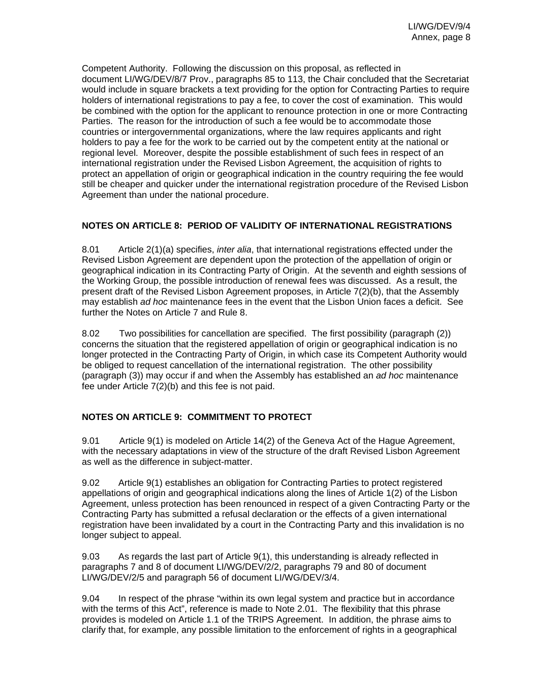Competent Authority. Following the discussion on this proposal, as reflected in document LI/WG/DEV/8/7 Prov., paragraphs 85 to 113, the Chair concluded that the Secretariat would include in square brackets a text providing for the option for Contracting Parties to require holders of international registrations to pay a fee, to cover the cost of examination. This would be combined with the option for the applicant to renounce protection in one or more Contracting Parties. The reason for the introduction of such a fee would be to accommodate those countries or intergovernmental organizations, where the law requires applicants and right holders to pay a fee for the work to be carried out by the competent entity at the national or regional level. Moreover, despite the possible establishment of such fees in respect of an international registration under the Revised Lisbon Agreement, the acquisition of rights to protect an appellation of origin or geographical indication in the country requiring the fee would still be cheaper and quicker under the international registration procedure of the Revised Lisbon Agreement than under the national procedure.

## **NOTES ON ARTICLE 8: PERIOD OF VALIDITY OF INTERNATIONAL REGISTRATIONS**

8.01 Article 2(1)(a) specifies, *inter alia*, that international registrations effected under the Revised Lisbon Agreement are dependent upon the protection of the appellation of origin or geographical indication in its Contracting Party of Origin. At the seventh and eighth sessions of the Working Group, the possible introduction of renewal fees was discussed. As a result, the present draft of the Revised Lisbon Agreement proposes, in Article 7(2)(b), that the Assembly may establish *ad hoc* maintenance fees in the event that the Lisbon Union faces a deficit. See further the Notes on Article 7 and Rule 8.

8.02 Two possibilities for cancellation are specified. The first possibility (paragraph (2)) concerns the situation that the registered appellation of origin or geographical indication is no longer protected in the Contracting Party of Origin, in which case its Competent Authority would be obliged to request cancellation of the international registration. The other possibility (paragraph (3)) may occur if and when the Assembly has established an *ad hoc* maintenance fee under Article 7(2)(b) and this fee is not paid.

## **NOTES ON ARTICLE 9: COMMITMENT TO PROTECT**

9.01 Article 9(1) is modeled on Article 14(2) of the Geneva Act of the Hague Agreement, with the necessary adaptations in view of the structure of the draft Revised Lisbon Agreement as well as the difference in subject-matter.

9.02 Article 9(1) establishes an obligation for Contracting Parties to protect registered appellations of origin and geographical indications along the lines of Article 1(2) of the Lisbon Agreement, unless protection has been renounced in respect of a given Contracting Party or the Contracting Party has submitted a refusal declaration or the effects of a given international registration have been invalidated by a court in the Contracting Party and this invalidation is no longer subject to appeal.

9.03 As regards the last part of Article 9(1), this understanding is already reflected in paragraphs 7 and 8 of document LI/WG/DEV/2/2, paragraphs 79 and 80 of document LI/WG/DEV/2/5 and paragraph 56 of document LI/WG/DEV/3/4.

9.04 In respect of the phrase "within its own legal system and practice but in accordance with the terms of this Act", reference is made to Note 2.01. The flexibility that this phrase provides is modeled on Article 1.1 of the TRIPS Agreement. In addition, the phrase aims to clarify that, for example, any possible limitation to the enforcement of rights in a geographical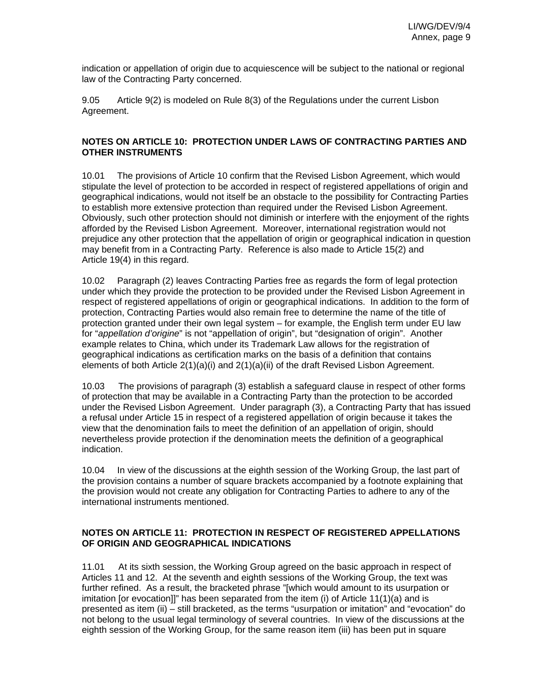indication or appellation of origin due to acquiescence will be subject to the national or regional law of the Contracting Party concerned.

9.05 Article 9(2) is modeled on Rule 8(3) of the Regulations under the current Lisbon Agreement.

### **NOTES ON ARTICLE 10: PROTECTION UNDER LAWS OF CONTRACTING PARTIES AND OTHER INSTRUMENTS**

10.01 The provisions of Article 10 confirm that the Revised Lisbon Agreement, which would stipulate the level of protection to be accorded in respect of registered appellations of origin and geographical indications, would not itself be an obstacle to the possibility for Contracting Parties to establish more extensive protection than required under the Revised Lisbon Agreement. Obviously, such other protection should not diminish or interfere with the enjoyment of the rights afforded by the Revised Lisbon Agreement. Moreover, international registration would not prejudice any other protection that the appellation of origin or geographical indication in question may benefit from in a Contracting Party. Reference is also made to Article 15(2) and Article 19(4) in this regard.

10.02 Paragraph (2) leaves Contracting Parties free as regards the form of legal protection under which they provide the protection to be provided under the Revised Lisbon Agreement in respect of registered appellations of origin or geographical indications. In addition to the form of protection, Contracting Parties would also remain free to determine the name of the title of protection granted under their own legal system – for example, the English term under EU law for "*appellation d'origine*" is not "appellation of origin", but "designation of origin". Another example relates to China, which under its Trademark Law allows for the registration of geographical indications as certification marks on the basis of a definition that contains elements of both Article 2(1)(a)(i) and 2(1)(a)(ii) of the draft Revised Lisbon Agreement.

10.03 The provisions of paragraph (3) establish a safeguard clause in respect of other forms of protection that may be available in a Contracting Party than the protection to be accorded under the Revised Lisbon Agreement. Under paragraph (3), a Contracting Party that has issued a refusal under Article 15 in respect of a registered appellation of origin because it takes the view that the denomination fails to meet the definition of an appellation of origin, should nevertheless provide protection if the denomination meets the definition of a geographical indication.

10.04 In view of the discussions at the eighth session of the Working Group, the last part of the provision contains a number of square brackets accompanied by a footnote explaining that the provision would not create any obligation for Contracting Parties to adhere to any of the international instruments mentioned.

## **NOTES ON ARTICLE 11: PROTECTION IN RESPECT OF REGISTERED APPELLATIONS OF ORIGIN AND GEOGRAPHICAL INDICATIONS**

11.01 At its sixth session, the Working Group agreed on the basic approach in respect of Articles 11 and 12. At the seventh and eighth sessions of the Working Group, the text was further refined. As a result, the bracketed phrase "[which would amount to its usurpation or imitation [or evocation]]" has been separated from the item (i) of Article 11(1)(a) and is presented as item (ii) – still bracketed, as the terms "usurpation or imitation" and "evocation" do not belong to the usual legal terminology of several countries. In view of the discussions at the eighth session of the Working Group, for the same reason item (iii) has been put in square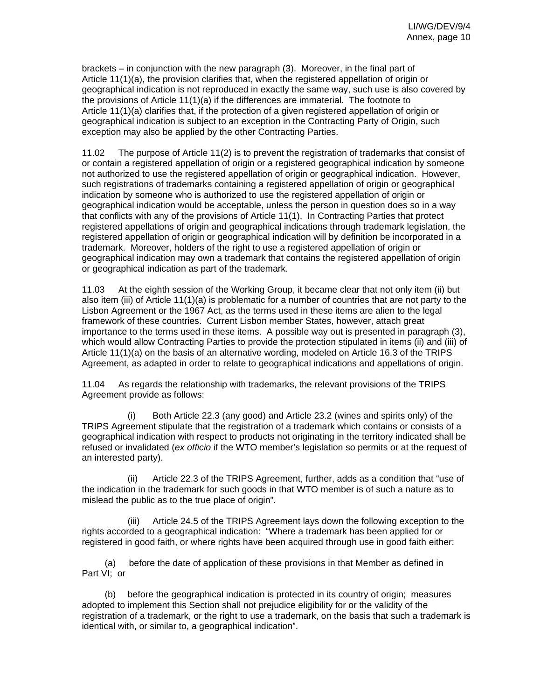brackets – in conjunction with the new paragraph (3). Moreover, in the final part of Article 11(1)(a), the provision clarifies that, when the registered appellation of origin or geographical indication is not reproduced in exactly the same way, such use is also covered by the provisions of Article 11(1)(a) if the differences are immaterial. The footnote to Article 11(1)(a) clarifies that, if the protection of a given registered appellation of origin or geographical indication is subject to an exception in the Contracting Party of Origin, such exception may also be applied by the other Contracting Parties.

11.02 The purpose of Article 11(2) is to prevent the registration of trademarks that consist of or contain a registered appellation of origin or a registered geographical indication by someone not authorized to use the registered appellation of origin or geographical indication. However, such registrations of trademarks containing a registered appellation of origin or geographical indication by someone who is authorized to use the registered appellation of origin or geographical indication would be acceptable, unless the person in question does so in a way that conflicts with any of the provisions of Article 11(1). In Contracting Parties that protect registered appellations of origin and geographical indications through trademark legislation, the registered appellation of origin or geographical indication will by definition be incorporated in a trademark. Moreover, holders of the right to use a registered appellation of origin or geographical indication may own a trademark that contains the registered appellation of origin or geographical indication as part of the trademark.

11.03 At the eighth session of the Working Group, it became clear that not only item (ii) but also item (iii) of Article 11(1)(a) is problematic for a number of countries that are not party to the Lisbon Agreement or the 1967 Act, as the terms used in these items are alien to the legal framework of these countries. Current Lisbon member States, however, attach great importance to the terms used in these items. A possible way out is presented in paragraph (3), which would allow Contracting Parties to provide the protection stipulated in items (ii) and (iii) of Article 11(1)(a) on the basis of an alternative wording, modeled on Article 16.3 of the TRIPS Agreement, as adapted in order to relate to geographical indications and appellations of origin.

11.04 As regards the relationship with trademarks, the relevant provisions of the TRIPS Agreement provide as follows:

(i) Both Article 22.3 (any good) and Article 23.2 (wines and spirits only) of the TRIPS Agreement stipulate that the registration of a trademark which contains or consists of a geographical indication with respect to products not originating in the territory indicated shall be refused or invalidated (*ex officio* if the WTO member's legislation so permits or at the request of an interested party).

(ii) Article 22.3 of the TRIPS Agreement, further, adds as a condition that "use of the indication in the trademark for such goods in that WTO member is of such a nature as to mislead the public as to the true place of origin".

(iii) Article 24.5 of the TRIPS Agreement lays down the following exception to the rights accorded to a geographical indication: "Where a trademark has been applied for or registered in good faith, or where rights have been acquired through use in good faith either:

(a) before the date of application of these provisions in that Member as defined in Part VI; or

(b) before the geographical indication is protected in its country of origin; measures adopted to implement this Section shall not prejudice eligibility for or the validity of the registration of a trademark, or the right to use a trademark, on the basis that such a trademark is identical with, or similar to, a geographical indication".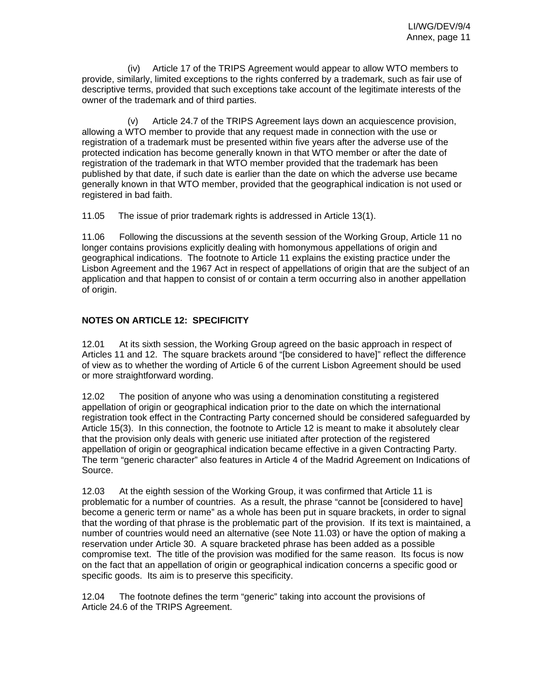(iv) Article 17 of the TRIPS Agreement would appear to allow WTO members to provide, similarly, limited exceptions to the rights conferred by a trademark, such as fair use of descriptive terms, provided that such exceptions take account of the legitimate interests of the owner of the trademark and of third parties.

(v) Article 24.7 of the TRIPS Agreement lays down an acquiescence provision, allowing a WTO member to provide that any request made in connection with the use or registration of a trademark must be presented within five years after the adverse use of the protected indication has become generally known in that WTO member or after the date of registration of the trademark in that WTO member provided that the trademark has been published by that date, if such date is earlier than the date on which the adverse use became generally known in that WTO member, provided that the geographical indication is not used or registered in bad faith.

11.05 The issue of prior trademark rights is addressed in Article 13(1).

11.06 Following the discussions at the seventh session of the Working Group, Article 11 no longer contains provisions explicitly dealing with homonymous appellations of origin and geographical indications. The footnote to Article 11 explains the existing practice under the Lisbon Agreement and the 1967 Act in respect of appellations of origin that are the subject of an application and that happen to consist of or contain a term occurring also in another appellation of origin.

## **NOTES ON ARTICLE 12: SPECIFICITY**

12.01 At its sixth session, the Working Group agreed on the basic approach in respect of Articles 11 and 12. The square brackets around "[be considered to have]" reflect the difference of view as to whether the wording of Article 6 of the current Lisbon Agreement should be used or more straightforward wording.

12.02 The position of anyone who was using a denomination constituting a registered appellation of origin or geographical indication prior to the date on which the international registration took effect in the Contracting Party concerned should be considered safeguarded by Article 15(3). In this connection, the footnote to Article 12 is meant to make it absolutely clear that the provision only deals with generic use initiated after protection of the registered appellation of origin or geographical indication became effective in a given Contracting Party. The term "generic character" also features in Article 4 of the Madrid Agreement on Indications of Source.

12.03 At the eighth session of the Working Group, it was confirmed that Article 11 is problematic for a number of countries. As a result, the phrase "cannot be [considered to have] become a generic term or name" as a whole has been put in square brackets, in order to signal that the wording of that phrase is the problematic part of the provision. If its text is maintained, a number of countries would need an alternative (see Note 11.03) or have the option of making a reservation under Article 30. A square bracketed phrase has been added as a possible compromise text. The title of the provision was modified for the same reason. Its focus is now on the fact that an appellation of origin or geographical indication concerns a specific good or specific goods. Its aim is to preserve this specificity.

12.04 The footnote defines the term "generic" taking into account the provisions of Article 24.6 of the TRIPS Agreement.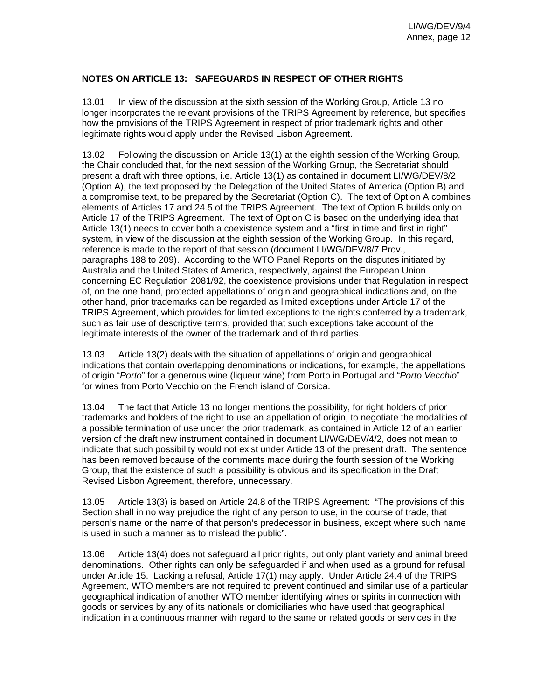### **NOTES ON ARTICLE 13: SAFEGUARDS IN RESPECT OF OTHER RIGHTS**

13.01 In view of the discussion at the sixth session of the Working Group, Article 13 no longer incorporates the relevant provisions of the TRIPS Agreement by reference, but specifies how the provisions of the TRIPS Agreement in respect of prior trademark rights and other legitimate rights would apply under the Revised Lisbon Agreement.

13.02 Following the discussion on Article 13(1) at the eighth session of the Working Group, the Chair concluded that, for the next session of the Working Group, the Secretariat should present a draft with three options, i.e. Article 13(1) as contained in document LI/WG/DEV/8/2 (Option A), the text proposed by the Delegation of the United States of America (Option B) and a compromise text, to be prepared by the Secretariat (Option C). The text of Option A combines elements of Articles 17 and 24.5 of the TRIPS Agreement. The text of Option B builds only on Article 17 of the TRIPS Agreement. The text of Option C is based on the underlying idea that Article 13(1) needs to cover both a coexistence system and a "first in time and first in right" system, in view of the discussion at the eighth session of the Working Group. In this regard, reference is made to the report of that session (document LI/WG/DEV/8/7 Prov., paragraphs 188 to 209). According to the WTO Panel Reports on the disputes initiated by Australia and the United States of America, respectively, against the European Union concerning EC Regulation 2081/92, the coexistence provisions under that Regulation in respect of, on the one hand, protected appellations of origin and geographical indications and, on the other hand, prior trademarks can be regarded as limited exceptions under Article 17 of the TRIPS Agreement, which provides for limited exceptions to the rights conferred by a trademark, such as fair use of descriptive terms, provided that such exceptions take account of the legitimate interests of the owner of the trademark and of third parties.

13.03 Article 13(2) deals with the situation of appellations of origin and geographical indications that contain overlapping denominations or indications, for example, the appellations of origin "*Porto*" for a generous wine (liqueur wine) from Porto in Portugal and "*Porto Vecchio*" for wines from Porto Vecchio on the French island of Corsica.

13.04 The fact that Article 13 no longer mentions the possibility, for right holders of prior trademarks and holders of the right to use an appellation of origin, to negotiate the modalities of a possible termination of use under the prior trademark, as contained in Article 12 of an earlier version of the draft new instrument contained in document LI/WG/DEV/4/2, does not mean to indicate that such possibility would not exist under Article 13 of the present draft. The sentence has been removed because of the comments made during the fourth session of the Working Group, that the existence of such a possibility is obvious and its specification in the Draft Revised Lisbon Agreement, therefore, unnecessary.

13.05 Article 13(3) is based on Article 24.8 of the TRIPS Agreement: "The provisions of this Section shall in no way prejudice the right of any person to use, in the course of trade, that person's name or the name of that person's predecessor in business, except where such name is used in such a manner as to mislead the public".

13.06 Article 13(4) does not safeguard all prior rights, but only plant variety and animal breed denominations. Other rights can only be safeguarded if and when used as a ground for refusal under Article 15. Lacking a refusal, Article 17(1) may apply. Under Article 24.4 of the TRIPS Agreement, WTO members are not required to prevent continued and similar use of a particular geographical indication of another WTO member identifying wines or spirits in connection with goods or services by any of its nationals or domiciliaries who have used that geographical indication in a continuous manner with regard to the same or related goods or services in the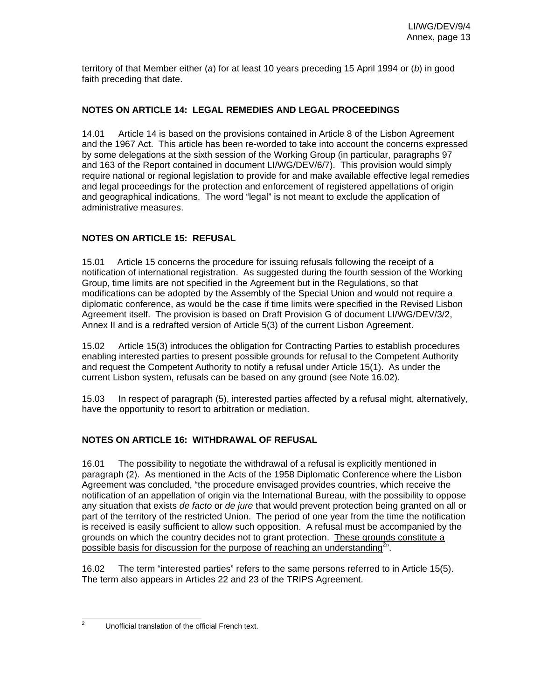territory of that Member either (*a*) for at least 10 years preceding 15 April 1994 or (*b*) in good faith preceding that date.

## **NOTES ON ARTICLE 14: LEGAL REMEDIES AND LEGAL PROCEEDINGS**

14.01 Article 14 is based on the provisions contained in Article 8 of the Lisbon Agreement and the 1967 Act. This article has been re-worded to take into account the concerns expressed by some delegations at the sixth session of the Working Group (in particular, paragraphs 97 and 163 of the Report contained in document LI/WG/DEV/6/7). This provision would simply require national or regional legislation to provide for and make available effective legal remedies and legal proceedings for the protection and enforcement of registered appellations of origin and geographical indications. The word "legal" is not meant to exclude the application of administrative measures.

## **NOTES ON ARTICLE 15: REFUSAL**

15.01 Article 15 concerns the procedure for issuing refusals following the receipt of a notification of international registration. As suggested during the fourth session of the Working Group, time limits are not specified in the Agreement but in the Regulations, so that modifications can be adopted by the Assembly of the Special Union and would not require a diplomatic conference, as would be the case if time limits were specified in the Revised Lisbon Agreement itself. The provision is based on Draft Provision G of document LI/WG/DEV/3/2, Annex II and is a redrafted version of Article 5(3) of the current Lisbon Agreement.

15.02 Article 15(3) introduces the obligation for Contracting Parties to establish procedures enabling interested parties to present possible grounds for refusal to the Competent Authority and request the Competent Authority to notify a refusal under Article 15(1). As under the current Lisbon system, refusals can be based on any ground (see Note 16.02).

15.03 In respect of paragraph (5), interested parties affected by a refusal might, alternatively, have the opportunity to resort to arbitration or mediation.

## **NOTES ON ARTICLE 16: WITHDRAWAL OF REFUSAL**

16.01 The possibility to negotiate the withdrawal of a refusal is explicitly mentioned in paragraph (2). As mentioned in the Acts of the 1958 Diplomatic Conference where the Lisbon Agreement was concluded, "the procedure envisaged provides countries, which receive the notification of an appellation of origin via the International Bureau, with the possibility to oppose any situation that exists *de facto* or *de jure* that would prevent protection being granted on all or part of the territory of the restricted Union. The period of one year from the time the notification is received is easily sufficient to allow such opposition. A refusal must be accompanied by the grounds on which the country decides not to grant protection. These grounds constitute a possible basis for discussion for the purpose of reaching an understanding<sup>2</sup>.

16.02 The term "interested parties" refers to the same persons referred to in Article 15(5). The term also appears in Articles 22 and 23 of the TRIPS Agreement.

 $\frac{1}{2}$ 

Unofficial translation of the official French text.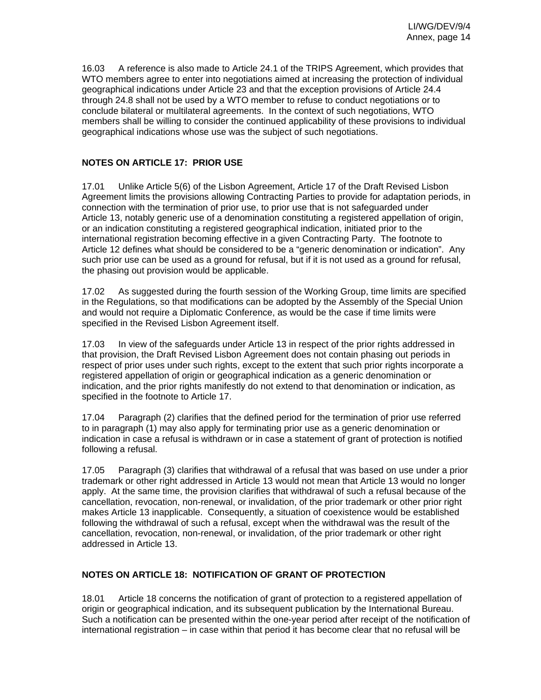16.03 A reference is also made to Article 24.1 of the TRIPS Agreement, which provides that WTO members agree to enter into negotiations aimed at increasing the protection of individual geographical indications under Article 23 and that the exception provisions of Article 24.4 through 24.8 shall not be used by a WTO member to refuse to conduct negotiations or to conclude bilateral or multilateral agreements. In the context of such negotiations, WTO members shall be willing to consider the continued applicability of these provisions to individual geographical indications whose use was the subject of such negotiations.

## **NOTES ON ARTICLE 17: PRIOR USE**

17.01 Unlike Article 5(6) of the Lisbon Agreement, Article 17 of the Draft Revised Lisbon Agreement limits the provisions allowing Contracting Parties to provide for adaptation periods, in connection with the termination of prior use, to prior use that is not safeguarded under Article 13, notably generic use of a denomination constituting a registered appellation of origin, or an indication constituting a registered geographical indication, initiated prior to the international registration becoming effective in a given Contracting Party. The footnote to Article 12 defines what should be considered to be a "generic denomination or indication". Any such prior use can be used as a ground for refusal, but if it is not used as a ground for refusal, the phasing out provision would be applicable.

17.02 As suggested during the fourth session of the Working Group, time limits are specified in the Regulations, so that modifications can be adopted by the Assembly of the Special Union and would not require a Diplomatic Conference, as would be the case if time limits were specified in the Revised Lisbon Agreement itself.

17.03 In view of the safeguards under Article 13 in respect of the prior rights addressed in that provision, the Draft Revised Lisbon Agreement does not contain phasing out periods in respect of prior uses under such rights, except to the extent that such prior rights incorporate a registered appellation of origin or geographical indication as a generic denomination or indication, and the prior rights manifestly do not extend to that denomination or indication, as specified in the footnote to Article 17.

17.04 Paragraph (2) clarifies that the defined period for the termination of prior use referred to in paragraph (1) may also apply for terminating prior use as a generic denomination or indication in case a refusal is withdrawn or in case a statement of grant of protection is notified following a refusal.

17.05 Paragraph (3) clarifies that withdrawal of a refusal that was based on use under a prior trademark or other right addressed in Article 13 would not mean that Article 13 would no longer apply. At the same time, the provision clarifies that withdrawal of such a refusal because of the cancellation, revocation, non-renewal, or invalidation, of the prior trademark or other prior right makes Article 13 inapplicable. Consequently, a situation of coexistence would be established following the withdrawal of such a refusal, except when the withdrawal was the result of the cancellation, revocation, non-renewal, or invalidation, of the prior trademark or other right addressed in Article 13.

## **NOTES ON ARTICLE 18: NOTIFICATION OF GRANT OF PROTECTION**

18.01 Article 18 concerns the notification of grant of protection to a registered appellation of origin or geographical indication, and its subsequent publication by the International Bureau. Such a notification can be presented within the one-year period after receipt of the notification of international registration – in case within that period it has become clear that no refusal will be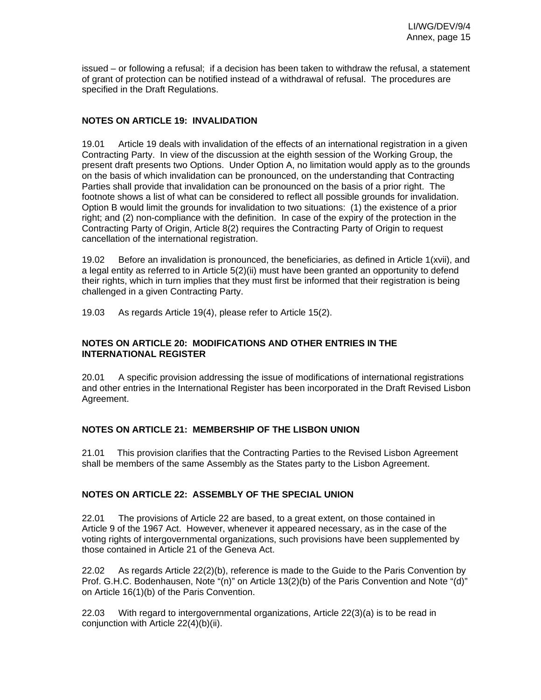issued – or following a refusal; if a decision has been taken to withdraw the refusal, a statement of grant of protection can be notified instead of a withdrawal of refusal. The procedures are specified in the Draft Regulations.

#### **NOTES ON ARTICLE 19: INVALIDATION**

19.01 Article 19 deals with invalidation of the effects of an international registration in a given Contracting Party. In view of the discussion at the eighth session of the Working Group, the present draft presents two Options. Under Option A, no limitation would apply as to the grounds on the basis of which invalidation can be pronounced, on the understanding that Contracting Parties shall provide that invalidation can be pronounced on the basis of a prior right. The footnote shows a list of what can be considered to reflect all possible grounds for invalidation. Option B would limit the grounds for invalidation to two situations: (1) the existence of a prior right; and (2) non-compliance with the definition. In case of the expiry of the protection in the Contracting Party of Origin, Article 8(2) requires the Contracting Party of Origin to request cancellation of the international registration.

19.02 Before an invalidation is pronounced, the beneficiaries, as defined in Article 1(xvii), and a legal entity as referred to in Article 5(2)(ii) must have been granted an opportunity to defend their rights, which in turn implies that they must first be informed that their registration is being challenged in a given Contracting Party.

19.03 As regards Article 19(4), please refer to Article 15(2).

#### **NOTES ON ARTICLE 20: MODIFICATIONS AND OTHER ENTRIES IN THE INTERNATIONAL REGISTER**

20.01 A specific provision addressing the issue of modifications of international registrations and other entries in the International Register has been incorporated in the Draft Revised Lisbon Agreement.

### **NOTES ON ARTICLE 21: MEMBERSHIP OF THE LISBON UNION**

21.01 This provision clarifies that the Contracting Parties to the Revised Lisbon Agreement shall be members of the same Assembly as the States party to the Lisbon Agreement.

### **NOTES ON ARTICLE 22: ASSEMBLY OF THE SPECIAL UNION**

22.01 The provisions of Article 22 are based, to a great extent, on those contained in Article 9 of the 1967 Act. However, whenever it appeared necessary, as in the case of the voting rights of intergovernmental organizations, such provisions have been supplemented by those contained in Article 21 of the Geneva Act.

22.02 As regards Article 22(2)(b), reference is made to the Guide to the Paris Convention by Prof. G.H.C. Bodenhausen, Note "(n)" on Article 13(2)(b) of the Paris Convention and Note "(d)" on Article 16(1)(b) of the Paris Convention.

22.03 With regard to intergovernmental organizations, Article 22(3)(a) is to be read in conjunction with Article 22(4)(b)(ii).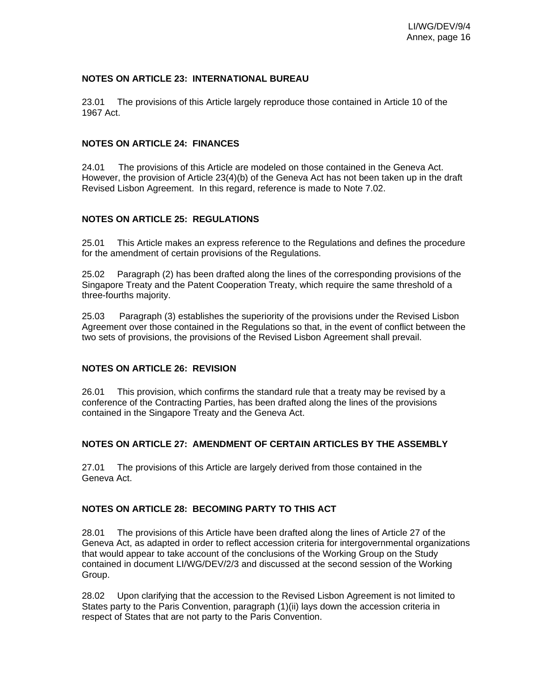#### **NOTES ON ARTICLE 23: INTERNATIONAL BUREAU**

23.01 The provisions of this Article largely reproduce those contained in Article 10 of the 1967 Act.

#### **NOTES ON ARTICLE 24: FINANCES**

24.01 The provisions of this Article are modeled on those contained in the Geneva Act. However, the provision of Article 23(4)(b) of the Geneva Act has not been taken up in the draft Revised Lisbon Agreement. In this regard, reference is made to Note 7.02.

### **NOTES ON ARTICLE 25: REGULATIONS**

25.01 This Article makes an express reference to the Regulations and defines the procedure for the amendment of certain provisions of the Regulations.

25.02 Paragraph (2) has been drafted along the lines of the corresponding provisions of the Singapore Treaty and the Patent Cooperation Treaty, which require the same threshold of a three-fourths majority.

25.03 Paragraph (3) establishes the superiority of the provisions under the Revised Lisbon Agreement over those contained in the Regulations so that, in the event of conflict between the two sets of provisions, the provisions of the Revised Lisbon Agreement shall prevail.

#### **NOTES ON ARTICLE 26: REVISION**

26.01 This provision, which confirms the standard rule that a treaty may be revised by a conference of the Contracting Parties, has been drafted along the lines of the provisions contained in the Singapore Treaty and the Geneva Act.

### **NOTES ON ARTICLE 27: AMENDMENT OF CERTAIN ARTICLES BY THE ASSEMBLY**

27.01 The provisions of this Article are largely derived from those contained in the Geneva Act.

#### **NOTES ON ARTICLE 28: BECOMING PARTY TO THIS ACT**

28.01 The provisions of this Article have been drafted along the lines of Article 27 of the Geneva Act, as adapted in order to reflect accession criteria for intergovernmental organizations that would appear to take account of the conclusions of the Working Group on the Study contained in document LI/WG/DEV/2/3 and discussed at the second session of the Working Group.

28.02 Upon clarifying that the accession to the Revised Lisbon Agreement is not limited to States party to the Paris Convention, paragraph (1)(ii) lays down the accession criteria in respect of States that are not party to the Paris Convention.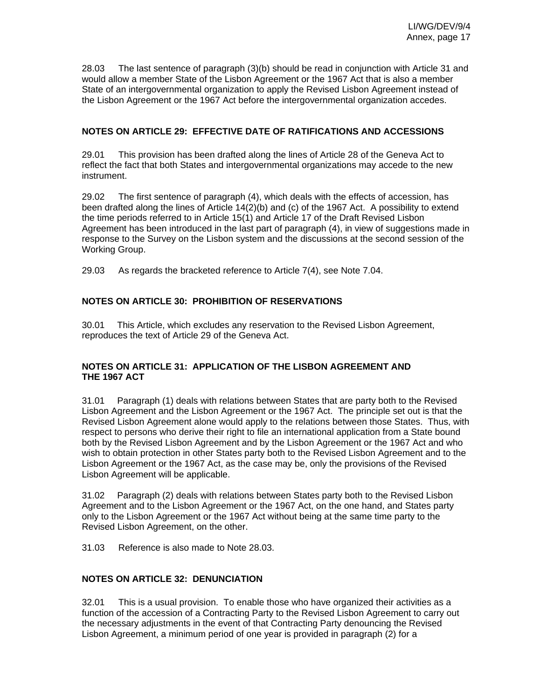28.03 The last sentence of paragraph (3)(b) should be read in conjunction with Article 31 and would allow a member State of the Lisbon Agreement or the 1967 Act that is also a member State of an intergovernmental organization to apply the Revised Lisbon Agreement instead of the Lisbon Agreement or the 1967 Act before the intergovernmental organization accedes.

## **NOTES ON ARTICLE 29: EFFECTIVE DATE OF RATIFICATIONS AND ACCESSIONS**

29.01 This provision has been drafted along the lines of Article 28 of the Geneva Act to reflect the fact that both States and intergovernmental organizations may accede to the new instrument.

29.02 The first sentence of paragraph (4), which deals with the effects of accession, has been drafted along the lines of Article 14(2)(b) and (c) of the 1967 Act. A possibility to extend the time periods referred to in Article 15(1) and Article 17 of the Draft Revised Lisbon Agreement has been introduced in the last part of paragraph (4), in view of suggestions made in response to the Survey on the Lisbon system and the discussions at the second session of the Working Group.

29.03 As regards the bracketed reference to Article 7(4), see Note 7.04.

## **NOTES ON ARTICLE 30: PROHIBITION OF RESERVATIONS**

30.01 This Article, which excludes any reservation to the Revised Lisbon Agreement, reproduces the text of Article 29 of the Geneva Act.

## **NOTES ON ARTICLE 31: APPLICATION OF THE LISBON AGREEMENT AND THE 1967 ACT**

31.01 Paragraph (1) deals with relations between States that are party both to the Revised Lisbon Agreement and the Lisbon Agreement or the 1967 Act. The principle set out is that the Revised Lisbon Agreement alone would apply to the relations between those States. Thus, with respect to persons who derive their right to file an international application from a State bound both by the Revised Lisbon Agreement and by the Lisbon Agreement or the 1967 Act and who wish to obtain protection in other States party both to the Revised Lisbon Agreement and to the Lisbon Agreement or the 1967 Act, as the case may be, only the provisions of the Revised Lisbon Agreement will be applicable.

31.02 Paragraph (2) deals with relations between States party both to the Revised Lisbon Agreement and to the Lisbon Agreement or the 1967 Act, on the one hand, and States party only to the Lisbon Agreement or the 1967 Act without being at the same time party to the Revised Lisbon Agreement, on the other.

31.03 Reference is also made to Note 28.03.

## **NOTES ON ARTICLE 32: DENUNCIATION**

32.01 This is a usual provision. To enable those who have organized their activities as a function of the accession of a Contracting Party to the Revised Lisbon Agreement to carry out the necessary adjustments in the event of that Contracting Party denouncing the Revised Lisbon Agreement, a minimum period of one year is provided in paragraph (2) for a